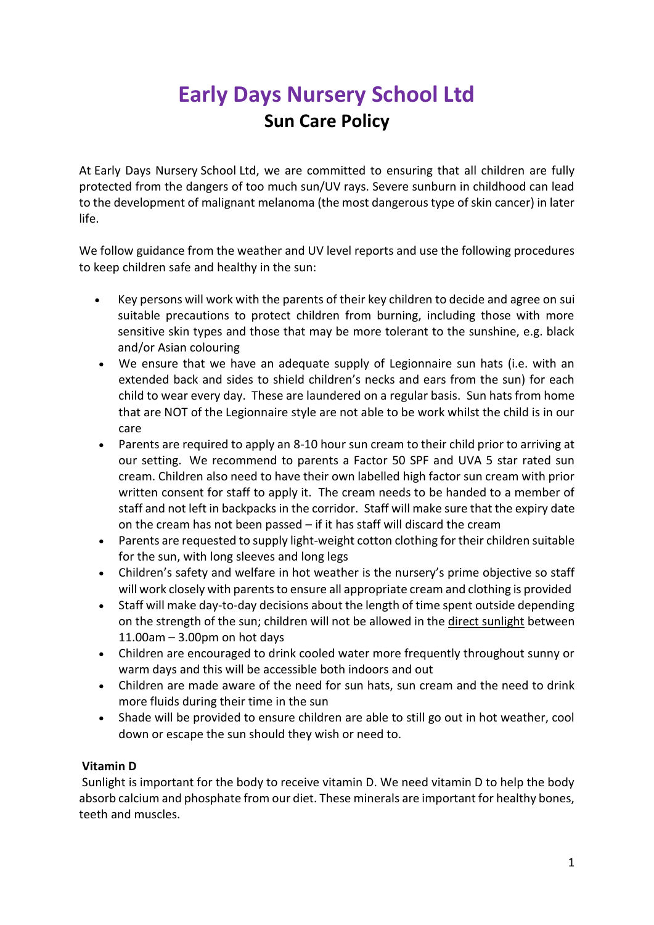## **Early Days Nursery School Ltd Sun Care Policy**

At Early Days Nursery School Ltd, we are committed to ensuring that all children are fully protected from the dangers of too much sun/UV rays. Severe sunburn in childhood can lead to the development of malignant melanoma (the most dangerous type of skin cancer) in later life.

We follow guidance from the weather and UV level reports and use the following procedures to keep children safe and healthy in the sun:

- Key persons will work with the parents of their key children to decide and agree on sui suitable precautions to protect children from burning, including those with more sensitive skin types and those that may be more tolerant to the sunshine, e.g. black and/or Asian colouring
- We ensure that we have an adequate supply of Legionnaire sun hats (i.e. with an extended back and sides to shield children's necks and ears from the sun) for each child to wear every day. These are laundered on a regular basis. Sun hats from home that are NOT of the Legionnaire style are not able to be work whilst the child is in our care
- Parents are required to apply an 8-10 hour sun cream to their child prior to arriving at our setting. We recommend to parents a Factor 50 SPF and UVA 5 star rated sun cream. Children also need to have their own labelled high factor sun cream with prior written consent for staff to apply it. The cream needs to be handed to a member of staff and not left in backpacks in the corridor. Staff will make sure that the expiry date on the cream has not been passed – if it has staff will discard the cream
- Parents are requested to supply light-weight cotton clothing for their children suitable for the sun, with long sleeves and long legs
- Children's safety and welfare in hot weather is the nursery's prime objective so staff will work closely with parents to ensure all appropriate cream and clothing is provided
- Staff will make day-to-day decisions about the length of time spent outside depending on the strength of the sun; children will not be allowed in the direct sunlight between 11.00am – 3.00pm on hot days
- Children are encouraged to drink cooled water more frequently throughout sunny or warm days and this will be accessible both indoors and out
- Children are made aware of the need for sun hats, sun cream and the need to drink more fluids during their time in the sun
- Shade will be provided to ensure children are able to still go out in hot weather, cool down or escape the sun should they wish or need to.

## **Vitamin D**

Sunlight is important for the body to receive vitamin D. We need vitamin D to help the body absorb calcium and phosphate from our diet. These minerals are important for healthy bones, teeth and muscles.